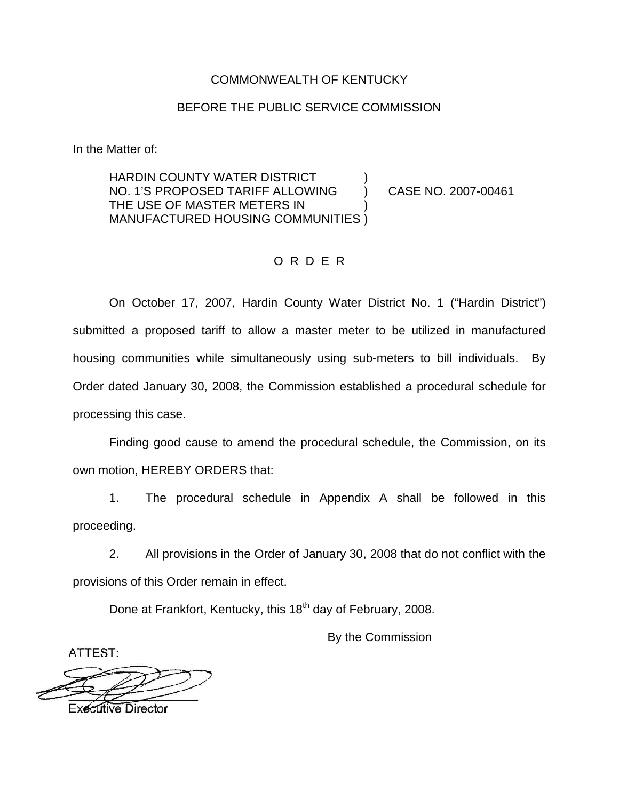### COMMONWEALTH OF KENTUCKY

### BEFORE THE PUBLIC SERVICE COMMISSION

In the Matter of:

HARDIN COUNTY WATER DISTRICT NO. 1'S PROPOSED TARIFF ALLOWING ) CASE NO. 2007-00461 THE USE OF MASTER METERS IN ) MANUFACTURED HOUSING COMMUNITIES )

## O R D E R

On October 17, 2007, Hardin County Water District No. 1 ("Hardin District") submitted a proposed tariff to allow a master meter to be utilized in manufactured housing communities while simultaneously using sub-meters to bill individuals. By Order dated January 30, 2008, the Commission established a procedural schedule for processing this case.

Finding good cause to amend the procedural schedule, the Commission, on its own motion, HEREBY ORDERS that:

1. The procedural schedule in Appendix A shall be followed in this proceeding.

2. All provisions in the Order of January 30, 2008 that do not conflict with the provisions of this Order remain in effect.

Done at Frankfort, Kentucky, this 18<sup>th</sup> day of February, 2008.

By the Commission

ATTEST:

**Executive Director**